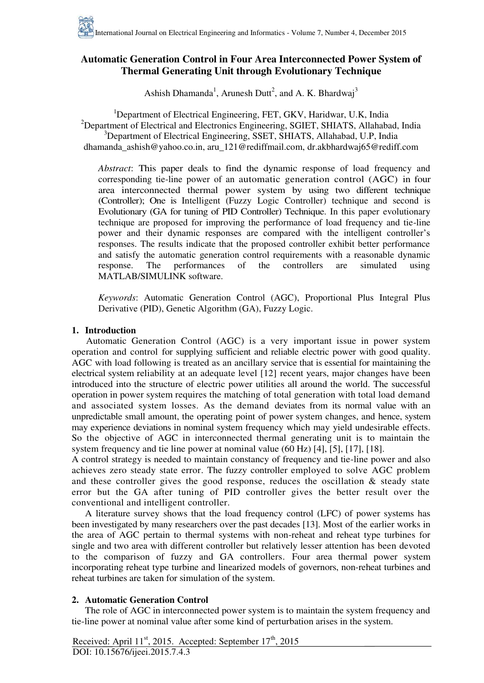# **Automatic Generation Control in Four Area Interconnected Power System of Thermal Generating Unit through Evolutionary Technique**

Ashish Dhamanda<sup>1</sup>, Arunesh Dutt<sup>2</sup>, and A. K. Bhardwaj<sup>3</sup>

<sup>1</sup>Department of Electrical Engineering, FET, GKV, Haridwar, U.K, India <sup>2</sup>Department of Electrical and Electronics Engineering, SGIET, SHIATS, Allahabad, India <sup>3</sup>Department of Electrical Engineering, SSET, SHIATS, Allahabad, U.P, India [dhamanda\\_ashish@yahoo.co.in,](mailto:dhamanda_ashish@yahoo.co.in) aru\_121@rediffmail.com, [dr.akbhardwaj65@rediff.com](mailto:dr.akbhardwaj65@rediff.com) 

*Abstract*: This paper deals to find the dynamic response of load frequency and corresponding tie-line power of an automatic generation control (AGC) in four area interconnected thermal power system by using two different technique (Controller); One is Intelligent (Fuzzy Logic Controller) technique and second is Evolutionary (GA for tuning of PID Controller) Technique. In this paper evolutionary technique are proposed for improving the performance of load frequency and tie-line power and their dynamic responses are compared with the intelligent controller's responses. The results indicate that the proposed controller exhibit better performance and satisfy the automatic generation control requirements with a reasonable dynamic response. The performances of the controllers are simulated using response. The performances of the controllers are simulated using MATLAB/SIMULINK software.

*Keywords*: Automatic Generation Control (AGC), Proportional Plus Integral Plus Derivative (PID), Genetic Algorithm (GA), Fuzzy Logic.

## **1. Introduction**

 Automatic Generation Control (AGC) is a very important issue in power system operation and control for supplying sufficient and reliable electric power with good quality. AGC with load following is treated as an ancillary service that is essential for maintaining the electrical system reliability at an adequate level [12] recent years, major changes have been introduced into the structure of electric power utilities all around the world. The successful operation in power system requires the matching of total generation with total load demand and associated system losses. As the demand deviates from its normal value with an unpredictable small amount, the operating point of power system changes, and hence, system may experience deviations in nominal system frequency which may yield undesirable effects. So the objective of AGC in interconnected thermal generating unit is to maintain the system frequency and tie line power at nominal value (60 Hz) [4], [5], [17], [18].

A control strategy is needed to maintain constancy of frequency and tie-line power and also achieves zero steady state error. The fuzzy controller employed to solve AGC problem and these controller gives the good response, reduces the oscillation  $\&$  steady state error but the GA after tuning of PID controller gives the better result over the conventional and intelligent controller.

 A literature survey shows that the load frequency control (LFC) of power systems has been investigated by many researchers over the past decades [13]. Most of the earlier works in the area of AGC pertain to thermal systems with non-reheat and reheat type turbines for single and two area with different controller but relatively lesser attention has been devoted to the comparison of fuzzy and GA controllers. Four area thermal power system incorporating reheat type turbine and linearized models of governors, non-reheat turbines and reheat turbines are taken for simulation of the system.

# **2. Automatic Generation Control**

 The role of AGC in interconnected power system is to maintain the system frequency and tie-line power at nominal value after some kind of perturbation arises in the system.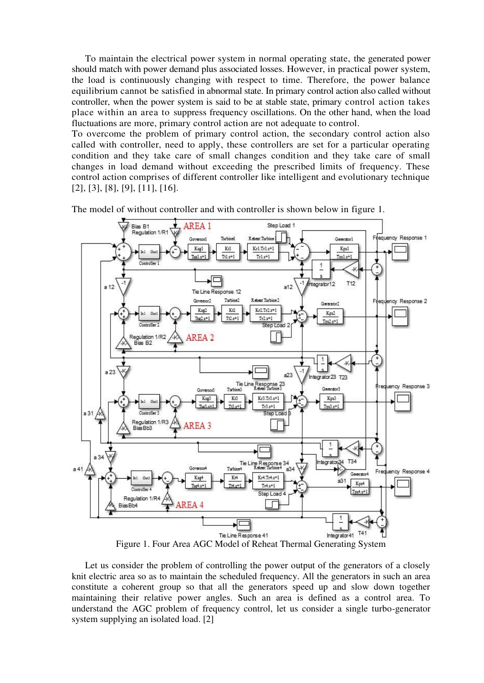To maintain the electrical power system in normal operating state, the generated power should match with power demand plus associated losses. However, in practical power system, the load is continuously changing with respect to time. Therefore, the power balance equilibrium cannot be satisfied in abnormal state. In primary control action also called without controller, when the power system is said to be at stable state, primary control action takes place within an area to suppress frequency oscillations. On the other hand, when the load fluctuations are more, primary control action are not adequate to control.

To overcome the problem of primary control action, the secondary control action also called with controller, need to apply, these controllers are set for a particular operating condition and they take care of small changes condition and they take care of small changes in load demand without exceeding the prescribed limits of frequency. These control action comprises of different controller like intelligent and evolutionary technique [2], [3], [8], [9], [11], [16].



The model of without controller and with controller is shown below in figure 1.

Figure 1. Four Area AGC Model of Reheat Thermal Generating System

 Let us consider the problem of controlling the power output of the generators of a closely knit electric area so as to maintain the scheduled frequency. All the generators in such an area constitute a coherent group so that all the generators speed up and slow down together maintaining their relative power angles. Such an area is defined as a control area. To understand the AGC problem of frequency control, let us consider a single turbo-generator system supplying an isolated load. [2]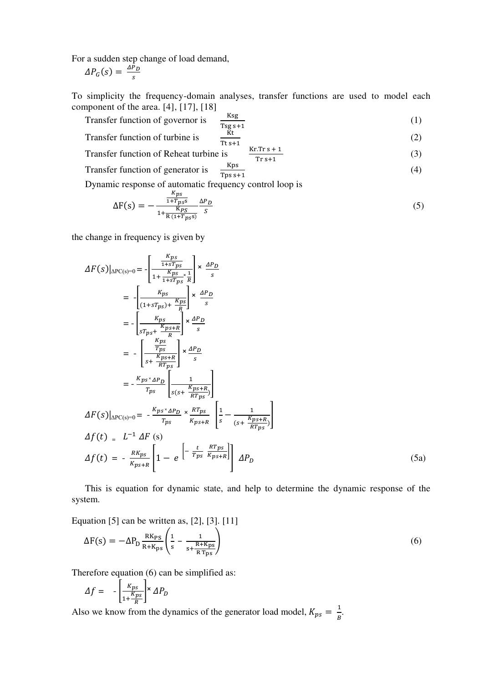For a sudden step change of load demand,

$$
\Delta P_G(s) = \frac{\Delta P_D}{s}
$$

To simplicity the frequency-domain analyses, transfer functions are used to model each component of the area.  $[4]$ ,  $[17]$ ,  $[18]$ 

Transfer function of governor is 
$$
\frac{\text{Ksg}}{\text{Tsgs} + 1}
$$
 (1)  
Transfer function of turbine is 
$$
\frac{\text{Kt}}{\text{Kt}}
$$
 (2)

Transfer function of turbine is 
$$
\frac{R}{Tts+1}
$$

Transfer function of Reheat turbine is

Transfer function of generator is 
$$
\frac{Kps}{Tps s+1}
$$
 (4)

Tps s+1 Dynamic response of automatic frequency control loop is

$$
\Delta F(s) = -\frac{\frac{K_{ps}}{1 + T_{ps}s}}{1 + \frac{K_{ps}}{R(1 + T_{ps}s)}} \frac{\Delta P_D}{s}
$$
(5)

(3)

the change in frequency is given by

$$
\Delta F(s)|_{\Delta PC(s)=0} = -\left[\frac{\frac{K_{PS}}{1+ST_{PS}}}{1+\frac{K_{PS}}{1+ST_{PS}}}\right] \times \frac{\Delta P_D}{s}
$$
  
\n
$$
= -\left[\frac{K_{PS}}{(1+ST_{PS}) + \frac{K_{PS}}{R}}\right] \times \frac{\Delta P_D}{s}
$$
  
\n
$$
= -\left[\frac{K_{PS}}{\frac{ST_{PS} + K}{1+ST_{PS}}}\right] \times \frac{\Delta P_D}{s}
$$
  
\n
$$
= -\left[\frac{\frac{K_{PS}}{T_{PS}}}{\frac{K_{PS} + R}{1+ST_{PS}}}\right] \times \frac{\Delta P_D}{s}
$$
  
\n
$$
= -\frac{K_{PS} \times \Delta P_D}{\frac{K_{PS} + R}{1+ST_{PS}}}\left[\frac{1}{s(s + \frac{K_{PS} + R}{RT_{PS}})}\right]
$$
  
\n
$$
\Delta F(s)|_{\Delta PC(s)=0} = -\frac{K_{PS} \times \Delta P_D}{T_{PS}} \times \frac{R_{TS}}{K_{PS} + R} \left[\frac{1}{s} - \frac{1}{(s + \frac{K_{PS} + R}{RT_{PS}})}\right]
$$
  
\n
$$
\Delta f(t) = L^{-1} \Delta F(s)
$$
  
\n
$$
\Delta f(t) = -\frac{R K_{PS}}{K_{PS} + R} \left[1 - e^{-\frac{t}{T_{PS}} \frac{R T_{PS}}{K_{PS} + R}}\right] \Delta P_D
$$
 (5a)

 This is equation for dynamic state, and help to determine the dynamic response of the system.

Equation [5] can be written as, [2], [3]. [11]

$$
\Delta F(s) = -\Delta P_D \frac{RK_{PS}}{R + K_{PS}} \left( \frac{1}{s} - \frac{1}{s + \frac{R + K_{PS}}{R T_{PS}}} \right)
$$
(6)

Therefore equation (6) can be simplified as:

$$
\Delta f = -\left[\frac{\kappa_{ps}}{1 + \frac{\kappa_{ps}}{R}}\right] \times \Delta P_D
$$

Also we know from the dynamics of the generator load model,  $K_{ps} = \frac{1}{B}$  $\frac{1}{B}$ .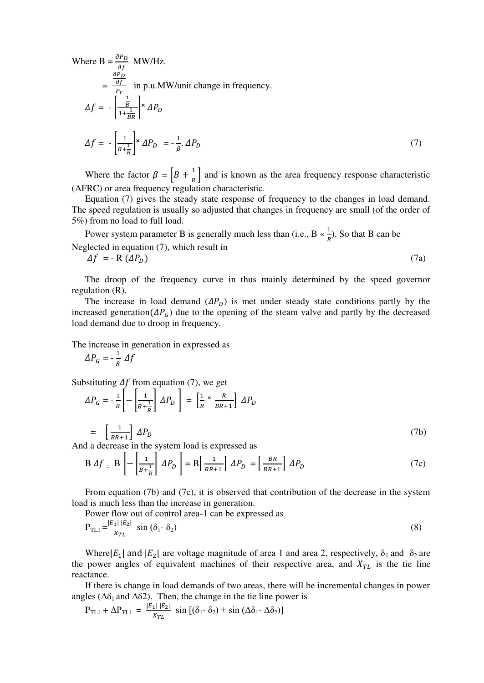Where B = 
$$
\frac{\frac{\partial P_D}{\partial f}}{\frac{\partial P_D}{P_r}}
$$
 MW/Hz.  
\n=  $\frac{\frac{\partial P_D}{\partial f}}{\frac{1}{P_r}}$  in p.u.MW/unit change in frequency.  
\n
$$
\Delta f = -\left[\frac{\frac{1}{B}}{1 + \frac{1}{BR}}\right] \times \Delta P_D
$$
\n
$$
\Delta f = -\left[\frac{1}{B + \frac{1}{R}}\right] \times \Delta P_D = -\frac{1}{\beta} \cdot \Delta P_D
$$
\n(7)

Where the factor  $\beta = \left[ B + \frac{1}{R} \right]$  and is known as the area frequency response characteristic (AFRC) or area frequency regulation characteristic.

 Equation (7) gives the steady state response of frequency to the changes in load demand. The speed regulation is usually so adjusted that changes in frequency are small (of the order of 5%) from no load to full load.

Power system parameter B is generally much less than (i.e.,  $B \propto \frac{1}{R}$ ). So that B can be Neglected in equation (7), which result in

 $\Delta f = -R \left( \Delta P_p \right)$  (7a)

 The droop of the frequency curve in thus mainly determined by the speed governor regulation (R).

The increase in load demand  $(\Delta P_p)$  is met under steady state conditions partly by the increased generation( $\Delta P_G$ ) due to the opening of the steam valve and partly by the decreased load demand due to droop in frequency.

The increase in generation in expressed as

$$
\Delta P_G = -\frac{1}{R} \Delta f
$$

Substituting  $\Delta f$  from equation (7), we get

$$
\Delta P_G = -\frac{1}{R} \left[ -\left[ \frac{1}{B + \frac{1}{R}} \right] \Delta P_D \right] = \left[ \frac{1}{R} \times \frac{R}{BR + 1} \right] \Delta P_D
$$

 $=$   $\left[\frac{1}{BR+1}\right]$   $\Delta P_D$  (7b) And a decrease in the system load is expressed as

$$
B \Delta f = B \left[ - \left[ \frac{1}{B + \frac{1}{R}} \right] \Delta P_D \right] = B \left[ \frac{1}{B R + 1} \right] \Delta P_D = \left[ \frac{B R}{B R + 1} \right] \Delta P_D \tag{7c}
$$

 From equation (7b) and (7c), it is observed that contribution of the decrease in the system load is much less than the increase in generation.

Power flow out of control area-1 can be expressed as

$$
P_{TL1} = \frac{|E_1||E_2|}{x_{TL}} \sin(\delta_1 - \delta_2)
$$
 (8)

Where $|E_1|$  and  $|E_2|$  are voltage magnitude of area 1 and area 2, respectively,  $\delta_1$  and  $\delta_2$  are the power angles of equivalent machines of their respective area, and  $X_{TL}$  is the tie line reactance.

 If there is change in load demands of two areas, there will be incremental changes in power angles ( $\Delta \delta_1$  and  $\Delta \delta_2$ ). Then, the change in the tie line power is

$$
P_{\text{TL1}} + \Delta P_{\text{TL1}} = \frac{|E_1||E_2|}{x_{\text{TL}}} \sin\left[(\delta_1 - \delta_2\right) + \sin\left(\Delta \delta_1 - \Delta \delta_2\right)\right]
$$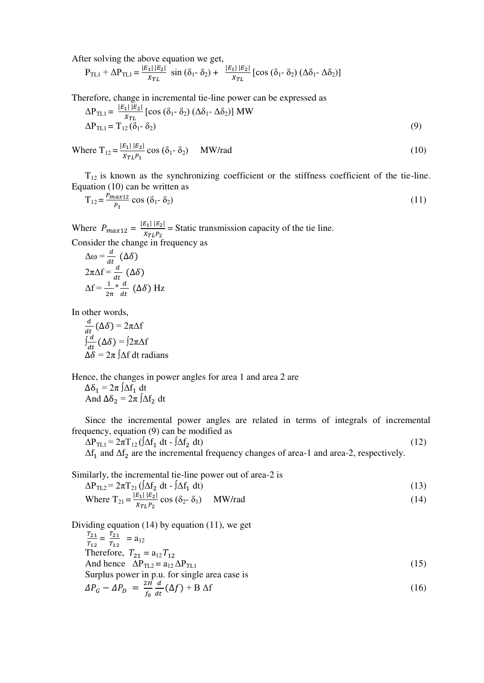After solving the above equation we get,

 $P_{\text{TL1}} + \Delta P_{\text{TL1}} = \frac{|E_1||E_2|}{r_{\text{av}}}$  $\frac{11|E_2|}{x_{TL}}$  sin  $(\delta_1 - \delta_2) + \frac{|E_1||E_2|}{x_{TL}}$  [cos  $(\delta_1 - \delta_2)$  ( $\Delta \delta_1 - \Delta \delta_2$ )]

Therefore, change in incremental tie-line power can be expressed as

$$
\Delta P_{\text{TL1}} = \frac{|E_1||E_2|}{x_{\text{TL}}} \left[ \cos (\delta_1 - \delta_2) (\Delta \delta_1 - \Delta \delta_2) \right] \text{MW}
$$
\n
$$
\Delta P_{\text{TL1}} = T_{12} (\delta_1 - \delta_2) \tag{9}
$$

Where 
$$
T_{12} = \frac{|E_1||E_2|}{x_{TL}P_1} \cos(\delta_1 - \delta_2)
$$
 MW/rad (10)

 $T_{12}$  is known as the synchronizing coefficient or the stiffness coefficient of the tie-line. Equation (10) can be written as

$$
T_{12} = \frac{P_{max12}}{P_1} \cos \left(\delta_1 - \delta_2\right) \tag{11}
$$

Where  $P_{max12} = \frac{|E_1||E_2|}{X_{TL}P_2}$  $\frac{2(1+2)}{x_{TL}P_2}$  = Static transmission capacity of the tie line. Consider the change in frequency as

$$
\Delta \omega = \frac{d}{dt} (\Delta \delta)
$$
  
2\pi \Delta f = \frac{d}{dt} (\Delta \delta)  
\Delta f = \frac{1}{2\pi} \times \frac{d}{dt} (\Delta \delta) Hz

In other words,

$$
\frac{d}{dt} (\Delta \delta) = 2\pi \Delta f
$$

$$
\int \frac{d}{dt} (\Delta \delta) = 2\pi \Delta f
$$

$$
\Delta \delta = 2\pi \int \Delta f dt \text{ radians}
$$

Hence, the changes in power angles for area 1 and area 2 are  $\Delta\delta_1 = 2\pi \int \Delta f_1 dt$ And  $\Delta \delta_2 = 2\pi \int \Delta f_2 dt$ 

 Since the incremental power angles are related in terms of integrals of incremental frequency, equation (9) can be modified as

 $\Delta P_{TL1} = 2\pi T_{12} (\Delta f_1 dt - \Delta f_2)$  $dt$ ) (12)  $\Delta f_1$  and  $\Delta f_2$  are the incremental frequency changes of area-1 and area-2, respectively.

Similarly, the incremental tie-line power out of area-2 is

$$
\Delta P_{TL2} = 2\pi T_{21} \left( \int \Delta f_2 dt - \int \Delta f_1 dt \right)
$$
\n(13)  
\nWhere  $T_{21} = \frac{|E_1||E_2|}{x_{TL}P_2} \cos (\delta_2 - \delta_1)$  MW/rad

Dividing equation (14) by equation (11), we get  $T_{21}$  $\frac{T_{21}}{T_{12}} = \frac{T_{21}}{T_{12}}$  $\frac{121}{T_{12}}$  = a<sub>12</sub> Therefore,  $T_{21} = a_{12} T_{12}$ And hence  $\Delta P_{TL2} = a_{12} \Delta P_{TL1}$  (15) Surplus power in p.u. for single area case is  $\Delta P_G - \Delta P_D = \frac{2H}{f_0}$  $\frac{\partial f}{\partial x}$  $\boldsymbol{a}$  $\frac{a}{dt}(\Delta f) + B \Delta f$  (16)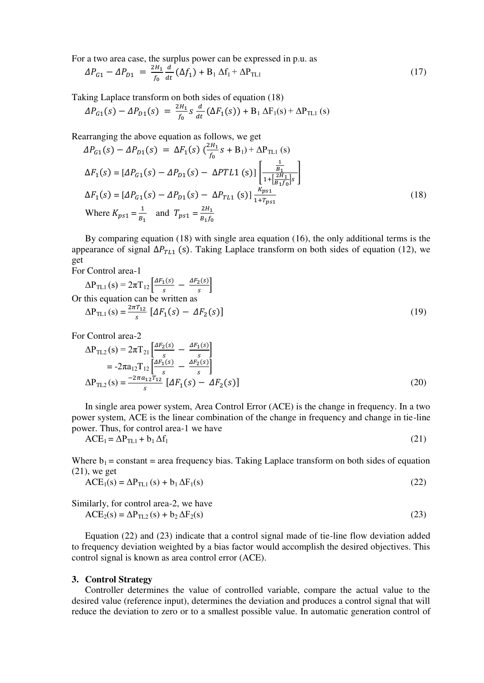For a two area case, the surplus power can be expressed in p.u. as

$$
\Delta P_{G1} - \Delta P_{D1} = \frac{2H_1}{f_0} \frac{d}{dt} (\Delta f_1) + B_1 \Delta f_1 + \Delta P_{TL1}
$$
\n(17)

Taking Laplace transform on both sides of equation (18)

$$
\Delta P_{G1}(s) - \Delta P_{D1}(s) = \frac{2H_1}{f_0} s \frac{d}{dt} (\Delta F_1(s)) + B_1 \Delta F_1(s) + \Delta P_{TL1}(s)
$$

Rearranging the above equation as follows, we get

$$
\Delta P_{G1}(s) - \Delta P_{D1}(s) = \Delta F_1(s) \left(\frac{2H_1}{f_0} s + B_1\right) + \Delta P_{TL1}(s)
$$
\n
$$
\Delta F_1(s) = [\Delta P_{G1}(s) - \Delta P_{D1}(s) - \Delta P T L 1(s)] \left[\frac{\frac{1}{B_1}}{1 + \left[\frac{2H_1}{B_1 f_0}\right]s}\right]
$$
\n
$$
\Delta F_1(s) = [\Delta P_{G1}(s) - \Delta P_{D1}(s) - \Delta P_{TL1}(s)] \frac{K_{p s 1}}{1 + T_{p s 1}}
$$
\n(18)\nWhere  $K_{p s 1} = \frac{1}{B_1}$  and  $T_{p s 1} = \frac{2H_1}{B_1 f_0}$ 

 By comparing equation (18) with single area equation (16), the only additional terms is the appearance of signal  $\Delta P_{TL1}$  (s). Taking Laplace transform on both sides of equation (12), we get

For Control area-1

$$
\Delta P_{\text{TL1}}(s) = 2\pi T_{12} \left[ \frac{\Delta F_1(s)}{s} - \frac{\Delta F_2(s)}{s} \right]
$$
  
Or this equation can be written as  

$$
\Delta P_{\text{TL1}}(s) = \frac{2\pi T_{12}}{s} \left[ \Delta F_1(s) - \Delta F_2(s) \right]
$$
 (19)

For Control area-2

$$
\Delta P_{TL2}(s) = 2\pi T_{21} \left[ \frac{\Delta F_2(s)}{s} - \frac{\Delta F_1(s)}{s} \right]
$$
  
=  $-2\pi a_{12} T_{12} \left[ \frac{\Delta F_1(s)}{s} - \frac{\Delta F_2(s)}{s} \right]$   

$$
\Delta P_{TL2}(s) = \frac{-2\pi a_{12} T_{12}}{s} \left[ \Delta F_1(s) - \Delta F_2(s) \right]
$$
 (20)

 In single area power system, Area Control Error (ACE) is the change in frequency. In a two power system, ACE is the linear combination of the change in frequency and change in tie-line power. Thus, for control area-1 we have

$$
ACE1 = \Delta PTL1 + b1 \Delta f1
$$
 (21)

Where  $b_1$  = constant = area frequency bias. Taking Laplace transform on both sides of equation (21), we get

$$
ACE1(s) = \Delta P_{TL1}(s) + b_1 \Delta F_1(s)
$$
\n(22)

Similarly, for control area-2, we have

$$
ACE2(s) = \Delta P_{TL2}(s) + b_2 \Delta F_2(s)
$$
\n(23)

 Equation (22) and (23) indicate that a control signal made of tie-line flow deviation added to frequency deviation weighted by a bias factor would accomplish the desired objectives. This control signal is known as area control error (ACE).

#### **3. Control Strategy**

 Controller determines the value of controlled variable, compare the actual value to the desired value (reference input), determines the deviation and produces a control signal that will reduce the deviation to zero or to a smallest possible value. In automatic generation control of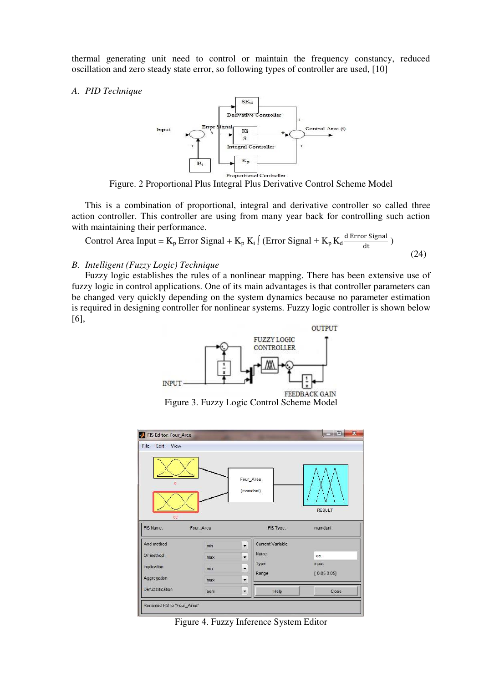thermal generating unit need to control or maintain the frequency constancy, reduced oscillation and zero steady state error, so following types of controller are used, [10]

#### *A. PID Technique*



Figure. 2 Proportional Plus Integral Plus Derivative Control Scheme Model

 This is a combination of proportional, integral and derivative controller so called three action controller. This controller are using from many year back for controlling such action with maintaining their performance.

Control Area Input = 
$$
K_p
$$
 Error Signal +  $K_p$   $K_i$   $\int$  (Error Signal +  $K_p$   $K_d \frac{d \text{ Error Signal}}{dt}$ ) (24)

#### *B. Intelligent (Fuzzy Logic) Technique*

 Fuzzy logic establishes the rules of a nonlinear mapping. There has been extensive use of fuzzy logic in control applications. One of its main advantages is that controller parameters can be changed very quickly depending on the system dynamics because no parameter estimation is required in designing controller for nonlinear systems. Fuzzy logic controller is shown below [6],



Figure 3. Fuzzy Logic Control Scheme Model



Figure 4. Fuzzy Inference System Editor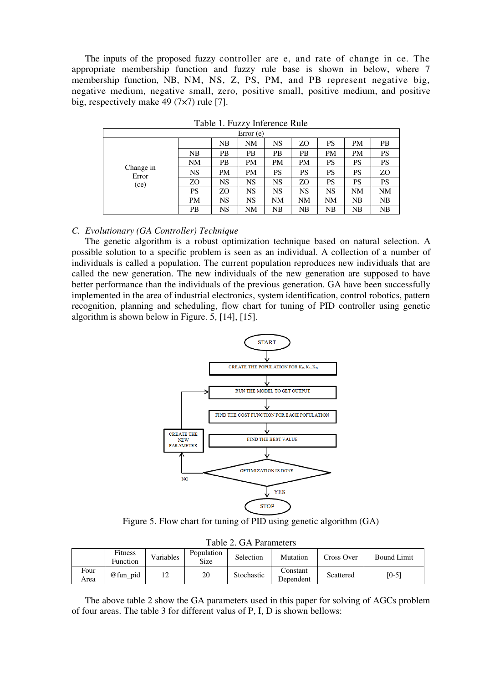The inputs of the proposed fuzzy controller are e, and rate of change in ce. The appropriate membership function and fuzzy rule base is shown in below, where 7 membership function, NB, NM, NS, Z, PS, PM, and PB represent negative big, negative medium, negative small, zero, positive small, positive medium, and positive big, respectively make 49 (7×7) rule [7].

| Error(e)                   |           |           |           |           |           |           |    |           |  |  |
|----------------------------|-----------|-----------|-----------|-----------|-----------|-----------|----|-----------|--|--|
| Change in<br>Error<br>(ce) |           | NB        | NM        | NS        | ZO        | PS        | PM | PB        |  |  |
|                            | NB        | PВ        | PB        | PB        | PB        | PM        | PM | <b>PS</b> |  |  |
|                            | NM        | PВ        | <b>PM</b> | PM        | <b>PM</b> | PS        | PS | <b>PS</b> |  |  |
|                            | NS        | <b>PM</b> | <b>PM</b> | PS        | PS        | PS        | PS | ZO        |  |  |
|                            | ZO        | NS        | NS        | <b>NS</b> | ZΟ        | PS        | PS | PS        |  |  |
|                            | PS        | ZΟ        | NS        | NS        | NS        | <b>NS</b> | NΜ | NM        |  |  |
|                            | <b>PM</b> | NS        | NS        | NΜ        | NM        | NΜ        | NB | NB        |  |  |
|                            | PB        | <b>NS</b> | NΜ        | NB        | NB        | NΒ        | NΒ | NB        |  |  |

Table 1. Fuzzy Inference Rule

#### *C. Evolutionary (GA Controller) Technique*

 The genetic algorithm is a robust optimization technique based on natural selection. A possible solution to a specific problem is seen as an individual. A collection of a number of individuals is called a population. The current population reproduces new individuals that are called the new generation. The new individuals of the new generation are supposed to have better performance than the individuals of the previous generation. GA have been successfully implemented in the area of industrial electronics, system identification, control robotics, pattern recognition, planning and scheduling, flow chart for tuning of PID controller using genetic algorithm is shown below in Figure. 5, [14], [15].



Figure 5. Flow chart for tuning of PID using genetic algorithm (GA)

| $10010 \nL. \nQ111000000$ |                     |           |                           |            |                       |            |                    |  |  |  |  |
|---------------------------|---------------------|-----------|---------------------------|------------|-----------------------|------------|--------------------|--|--|--|--|
|                           | Fitness<br>Function | Variables | Population<br><b>Size</b> | Selection  | Mutation              | Cross Over | <b>Bound Limit</b> |  |  |  |  |
| Four<br>Area              | @fun pid            | ∸         | 20                        | Stochastic | Constant<br>Dependent | Scattered  | [0-5]              |  |  |  |  |

 The above table 2 show the GA parameters used in this paper for solving of AGCs problem of four areas. The table 3 for different valus of P, I, D is shown bellows: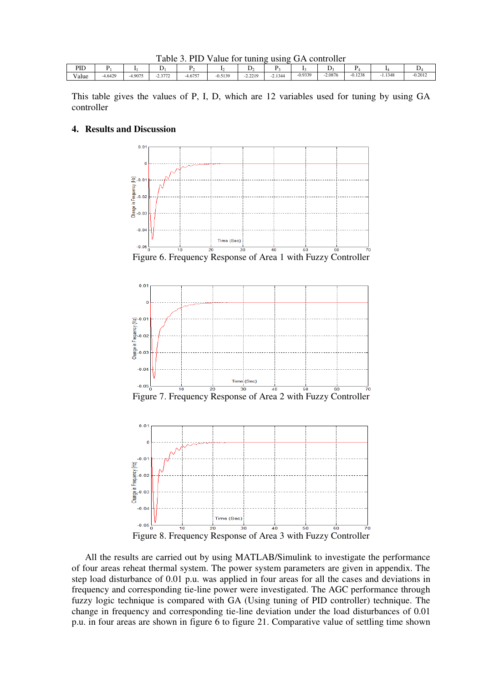| Table 3. PID Value for tuning using GA controller |  |
|---------------------------------------------------|--|
|---------------------------------------------------|--|

| DID<br>riv    |           |        |                     |           |           |                                                |           |           | ↩         |           |        |           |
|---------------|-----------|--------|---------------------|-----------|-----------|------------------------------------------------|-----------|-----------|-----------|-----------|--------|-----------|
| $-1$<br>∨alue | $-4.6429$ | 4.9075 | 2.2722<br>$-2.3112$ | $-4.6757$ | $-0.5139$ | 2.2210<br>.<br>the contract of the contract of | $-2.1344$ | $-0.9339$ | $-2.0876$ | $-0.1238$ | 1.1348 | $-0.2012$ |

This table gives the values of P, I, D, which are 12 variables used for tuning by using GA controller

#### **4. Results and Discussion**



Figure 6. Frequency Response of Area 1 with Fuzzy Controller



Figure 7. Frequency Response of Area 2 with Fuzzy Controller



 All the results are carried out by using MATLAB/Simulink to investigate the performance of four areas reheat thermal system. The power system parameters are given in appendix. The step load disturbance of 0.01 p.u. was applied in four areas for all the cases and deviations in frequency and corresponding tie-line power were investigated. The AGC performance through fuzzy logic technique is compared with GA (Using tuning of PID controller) technique. The change in frequency and corresponding tie-line deviation under the load disturbances of 0.01 p.u. in four areas are shown in figure 6 to figure 21. Comparative value of settling time shown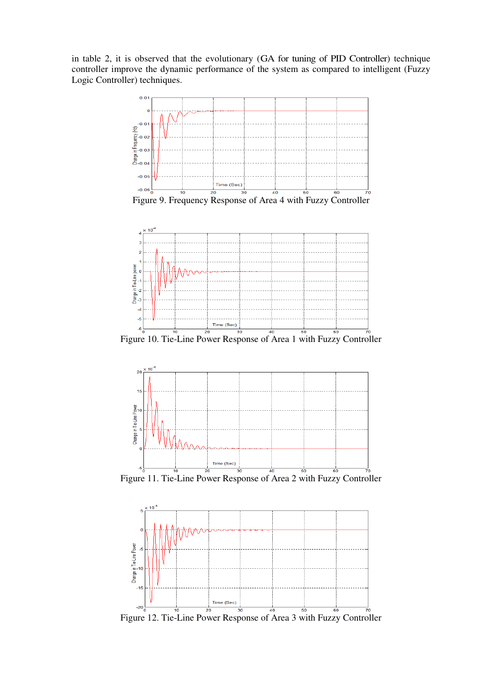in table 2, it is observed that the evolutionary (GA for tuning of PID Controller) technique controller improve the dynamic performance of the system as compared to intelligent (Fuzzy Logic Controller) techniques.



Figure 12. Tie-Line Power Response of Area 3 with Fuzzy Controller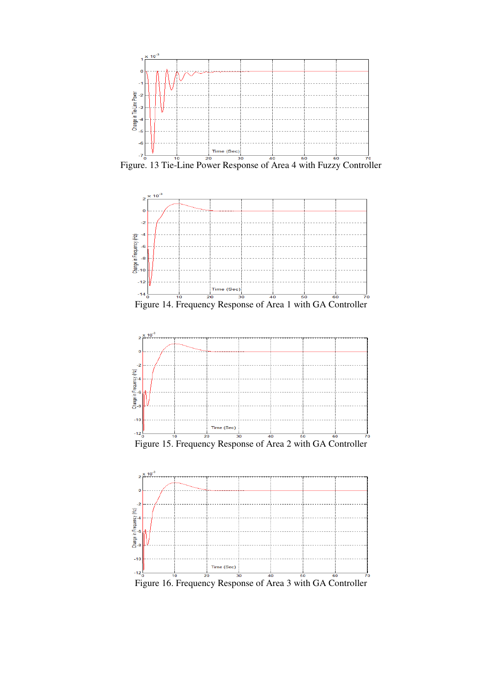

Figure. 13 Tie-Line Power Response of Area 4 with Fuzzy Controller



Figure 14. Frequency Response of Area 1 with GA Controller





Figure 16. Frequency Response of Area 3 with GA Controller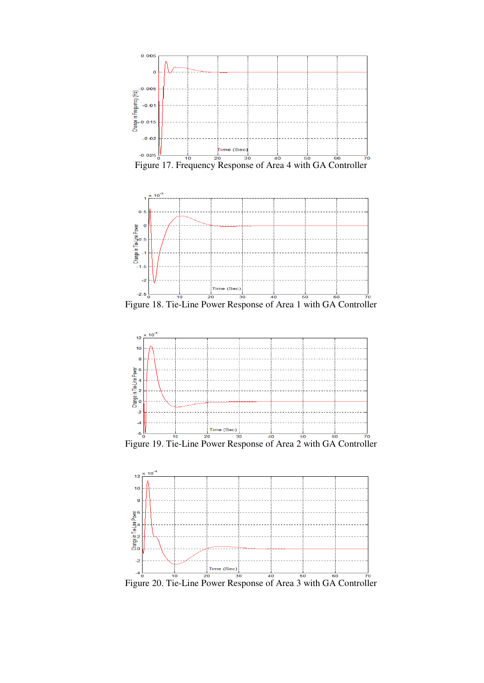

Figure 17. Frequency Response of Area 4 with GA Controller



Figure 18. Tie-Line Power Response of Area 1 with GA Controller



 $F_{6}$ <br>Figure 19. Tie-Line Power Response of Area 2 with GA Controller

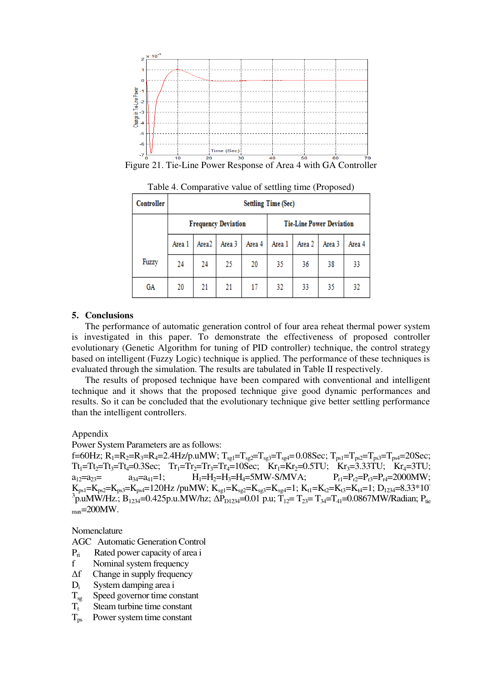

Figure 21. Tie-Line Power Response of Area 4 with GA Controller

| Controller | <b>Settling Time (Sec)</b> |                   |                            |        |                                 |        |        |        |  |  |
|------------|----------------------------|-------------------|----------------------------|--------|---------------------------------|--------|--------|--------|--|--|
|            |                            |                   | <b>Frequency Deviation</b> |        | <b>Tie-Line Power Deviation</b> |        |        |        |  |  |
|            | Area 1                     | Area <sub>2</sub> | Area 3                     | Area 4 | Area 1                          | Area 2 | Area 3 | Area 4 |  |  |
| Fuzzy      | 24                         | 24                | 25                         | 20     | 35                              | 36     | 38     | 33     |  |  |
| GA         | 20                         | 21                | 21                         | 17     | 32                              | 33     | 35     | 32     |  |  |

Table 4. Comparative value of settling time (Proposed)

### **5. Conclusions**

 The performance of automatic generation control of four area reheat thermal power system is investigated in this paper. To demonstrate the effectiveness of proposed controller evolutionary (Genetic Algorithm for tuning of PID controller) technique, the control strategy based on intelligent (Fuzzy Logic) technique is applied. The performance of these techniques is evaluated through the simulation. The results are tabulated in Table II respectively.

 The results of proposed technique have been compared with conventional and intelligent technique and it shows that the proposed technique give good dynamic performances and results. So it can be concluded that the evolutionary technique give better settling performance than the intelligent controllers.

Appendix

Power System Parameters are as follows:

f=60Hz;  $R_1=R_2=R_3=R_4=2.4$ Hz/p.uMW;  $T_{sg1}=T_{sg2}=T_{sg3}=T_{sg4}=0.08$ Sec;  $T_{ps1}=T_{ps2}=T_{ps3}=T_{ps4}=20$ Sec;  $Tt_1 = Tt_2 = Tt_3 = Tt_4 = 0.3$ Sec;  $Tt_1 = Tt_2 = Tt_3 = Tt_4 = 10$ Sec;  $Kr_1 = Kr_2 = 0.5$ TU;  $Kr_3 = 3.33$ TU;  $Kr_4 = 3$ TU;<br>  $a_{12} = a_{23} = a_{34} = a_{41} = 1$ ;  $H_1 = H_2 = H_3 = H_4 = 5$ MW-S/MVA;  $P_{r1} = P_{r2} = P_{r3} = P_{r4} = 2000$ MW;  $a_{12}=a_{23}=$   $a_{34}=a_{41}=1;$   $H_1=H_2=H_3=H_4=5MW-S/MVA;$  $K_{ps1}=K_{ps2}=K_{ps3}=K_{ps4}=120Hz$  /puMW;  $K_{sg1}=K_{sg2}=K_{sg3}=K_{sg4}=1$ ;  $K_{t1}=K_{t2}=K_{t3}=K_{t4}=1$ ;  $D_{1234}=8.33*10^{-1}$  $3\overline{p}$ .uMW/Hz.; B<sub>1234</sub>=0.425p.u.MW/hz;  $\Delta P_{D1234}$ =0.01 p.u; T<sub>12</sub>= T<sub>23</sub>= T<sub>34</sub>=T<sub>41</sub>=0.0867MW/Radian; P<sub>tie</sub>  $_{max}$ =200MW.

Nomenclature

AGC Automatic Generation Control

- $P_{ri}$  Rated power capacity of area i
- f Nominal system frequency
- Δf Change in supply frequency
- $D_i$  System damping area i<br>T<sub>sg</sub> Speed governor time co
- $T_{sg}$  Speed governor time constant<br> $T_t$  Steam turbine time constant
- Steam turbine time constant
- $T_{\text{ps}}$  Power system time constant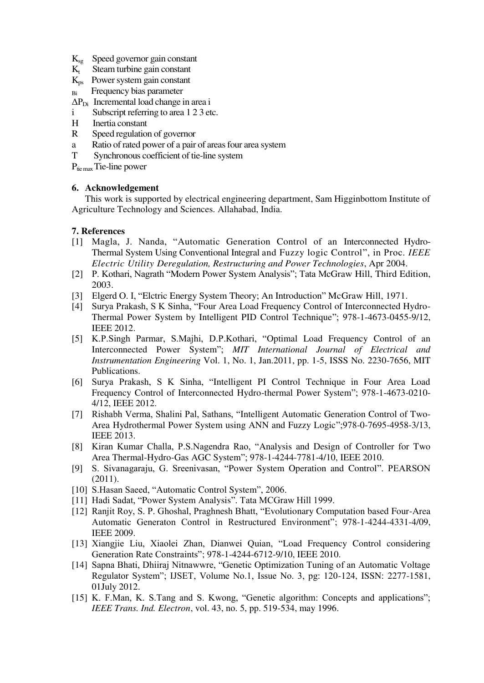- $K_{sg}$  Speed governor gain constant<br> $K_t$  Steam turbine gain constant
- Steam turbine gain constant
- $K_{ps}$  Power system gain constant
- Bi Frequency bias parameter
- $\Delta P_{\text{Di}}$  Incremental load change in area i
- i Subscript referring to area 1 2 3 etc.
- H Inertia constant
- R Speed regulation of governor
- a Ratio of rated power of a pair of areas four area system
- T Synchronous coefficient of tie-line system
- $P_{\text{tie max}}$  Tie-line power

### **6. Acknowledgement**

 This work is supported by electrical engineering department, Sam Higginbottom Institute of Agriculture Technology and Sciences. Allahabad, India.

## **7. References**

- [1] Magla, J. Nanda, "Automatic Generation Control of an Interconnected Hydro-Thermal System Using Conventional Integral and Fuzzy logic Control", in Proc. *IEEE Electric Utility Deregulation, Restructuring and Power Technologies*, Apr 2004.
- [2] P. Kothari, Nagrath "Modern Power System Analysis"; Tata McGraw Hill, Third Edition, 2003.
- [3] Elgerd O. I, "Elctric Energy System Theory; An Introduction" McGraw Hill, 1971.
- [4] Surya Prakash, S K Sinha, "Four Area Load Frequency Control of Interconnected Hydro-Thermal Power System by Intelligent PID Control Technique"; 978-1-4673-0455-9/12, IEEE 2012.
- [5] K.P.Singh Parmar, S.Majhi, D.P.Kothari, "Optimal Load Frequency Control of an Interconnected Power System"; *MIT International Journal of Electrical and Instrumentation Engineering* Vol. 1, No. 1, Jan.2011, pp. 1-5, ISSS No. 2230-7656, MIT Publications.
- [6] Surya Prakash, S K Sinha, "Intelligent PI Control Technique in Four Area Load Frequency Control of Interconnected Hydro-thermal Power System"; 978-1-4673-0210- 4/12, IEEE 2012.
- [7] Rishabh Verma, Shalini Pal, Sathans, "Intelligent Automatic Generation Control of Two-Area Hydrothermal Power System using ANN and Fuzzy Logic";978-0-7695-4958-3/13, IEEE 2013.
- [8] Kiran Kumar Challa, P.S.Nagendra Rao, "Analysis and Design of Controller for Two Area Thermal-Hydro-Gas AGC System"; 978-1-4244-7781-4/10, IEEE 2010.
- [9] S. Sivanagaraju, G. Sreenivasan, "Power System Operation and Control". PEARSON (2011).
- [10] S.Hasan Saeed, "Automatic Control System", 2006.
- [11] Hadi Sadat, "Power System Analysis". Tata MCGraw Hill 1999.
- [12] Ranjit Roy, S. P. Ghoshal, Praghnesh Bhatt, "Evolutionary Computation based Four-Area Automatic Generaton Control in Restructured Environment"; 978-1-4244-4331-4/09, IEEE 2009.
- [13] Xiangjie Liu, Xiaolei Zhan, Dianwei Quian, "Load Frequency Control considering Generation Rate Constraints"; 978-1-4244-6712-9/10, IEEE 2010.
- [14] Sapna Bhati, Dhiiraj Nitnawwre, "Genetic Optimization Tuning of an Automatic Voltage Regulator System"; IJSET, Volume No.1, Issue No. 3, pg: 120-124, ISSN: 2277-1581, 01July 2012.
- [15] K. F.Man, K. S.Tang and S. Kwong, "Genetic algorithm: Concepts and applications"; *IEEE Trans. Ind. Electron*, vol. 43, no. 5, pp. 519-534, may 1996.